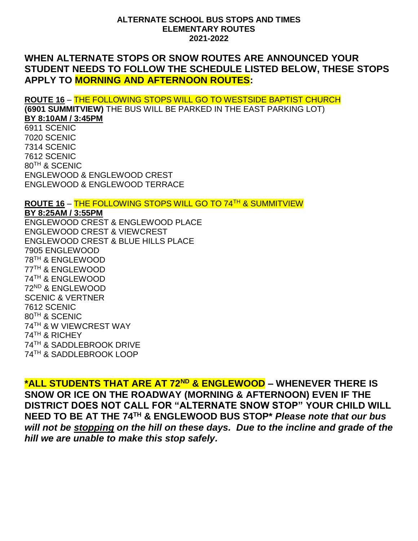#### **ALTERNATE SCHOOL BUS STOPS AND TIMES ELEMENTARY ROUTES 2021-2022**

# **WHEN ALTERNATE STOPS OR SNOW ROUTES ARE ANNOUNCED YOUR STUDENT NEEDS TO FOLLOW THE SCHEDULE LISTED BELOW, THESE STOPS APPLY TO MORNING AND AFTERNOON ROUTES:**

**ROUTE 16** – THE FOLLOWING STOPS WILL GO TO WESTSIDE BAPTIST CHURCH **(6901 SUMMITVIEW)** THE BUS WILL BE PARKED IN THE EAST PARKING LOT) **BY 8:10AM / 3:45PM** 6911 SCENIC 7020 SCENIC 7314 SCENIC 7612 SCENIC 80TH & SCENIC ENGLEWOOD & ENGLEWOOD CREST ENGLEWOOD & ENGLEWOOD TERRACE **ROUTE 16** – THE FOLLOWING STOPS WILL GO TO 74TH & SUMMITVIEW **BY 8:25AM / 3:55PM** ENGLEWOOD CREST & ENGLEWOOD PLACE ENGLEWOOD CREST & VIEWCREST ENGLEWOOD CREST & BLUE HILLS PLACE 7905 ENGLEWOOD

TH & ENGLEWOOD TH & ENGLEWOOD TH & ENGLEWOOD ND & ENGLEWOOD SCENIC & VERTNER 7612 SCENIC TH & SCENIC TH & W VIEWCREST WAY TH & RICHEY TH & SADDLEBROOK DRIVE TH & SADDLEBROOK LOOP

**\*ALL STUDENTS THAT ARE AT 72ND & ENGLEWOOD – WHENEVER THERE IS SNOW OR ICE ON THE ROADWAY (MORNING & AFTERNOON) EVEN IF THE DISTRICT DOES NOT CALL FOR "ALTERNATE SNOW STOP" YOUR CHILD WILL NEED TO BE AT THE 74TH & ENGLEWOOD BUS STOP\*** *Please note that our bus will not be stopping on the hill on these days. Due to the incline and grade of the hill we are unable to make this stop safely.*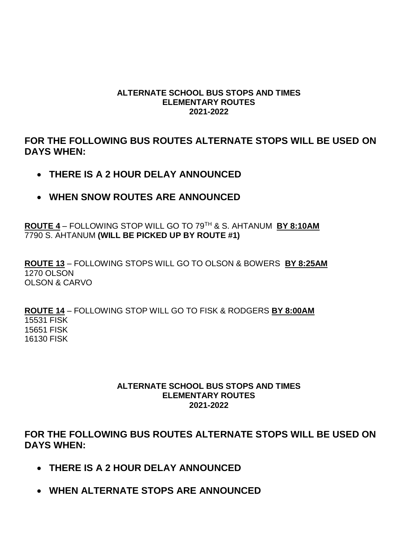#### **ALTERNATE SCHOOL BUS STOPS AND TIMES ELEMENTARY ROUTES 2021-2022**

**FOR THE FOLLOWING BUS ROUTES ALTERNATE STOPS WILL BE USED ON DAYS WHEN:**

- **THERE IS A 2 HOUR DELAY ANNOUNCED**
- **WHEN SNOW ROUTES ARE ANNOUNCED**

**ROUTE 4** – FOLLOWING STOP WILL GO TO 79TH & S. AHTANUM **BY 8:10AM** 7790 S. AHTANUM **(WILL BE PICKED UP BY ROUTE #1)**

**ROUTE 13** – FOLLOWING STOPS WILL GO TO OLSON & BOWERS **BY 8:25AM** 1270 OLSON OLSON & CARVO

**ROUTE 14** – FOLLOWING STOP WILL GO TO FISK & RODGERS **BY 8:00AM** 15531 FISK 15651 FISK 16130 FISK

### **ALTERNATE SCHOOL BUS STOPS AND TIMES ELEMENTARY ROUTES 2021-2022**

**FOR THE FOLLOWING BUS ROUTES ALTERNATE STOPS WILL BE USED ON DAYS WHEN:**

- **THERE IS A 2 HOUR DELAY ANNOUNCED**
- **WHEN ALTERNATE STOPS ARE ANNOUNCED**